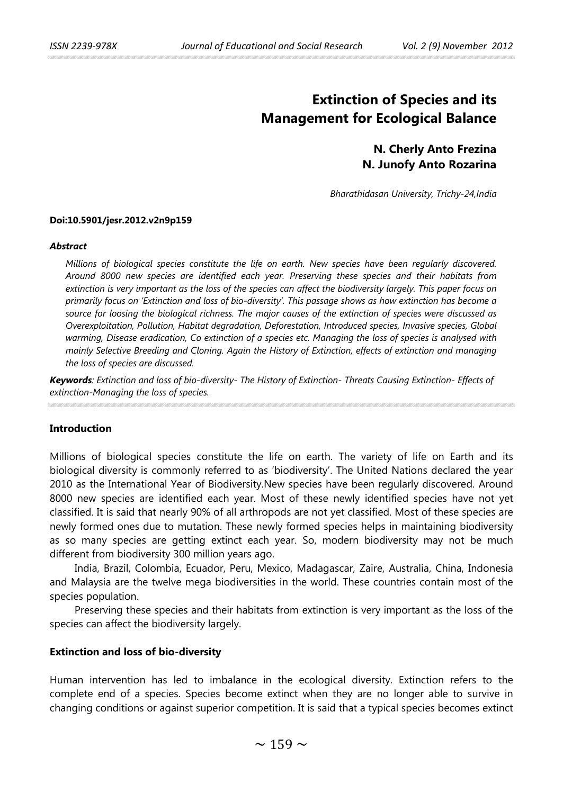# **Extinction of Species and its Management for Ecological Balance**

## **N. Cherly Anto Frezina N. Junofy Anto Rozarina**

*Bharathidasan University, Trichy-24,India* 

#### **Doi:10.5901/jesr.2012.v2n9p159**

#### *Abstract*

*Millions of biological species constitute the life on earth. New species have been regularly discovered. Around 8000 new species are identified each year. Preserving these species and their habitats from extinction is very important as the loss of the species can affect the biodiversity largely. This paper focus on primarily focus on 'Extinction and loss of bio-diversity'. This passage shows as how extinction has become a source for loosing the biological richness. The major causes of the extinction of species were discussed as Overexploitation, Pollution, Habitat degradation, Deforestation, Introduced species, Invasive species, Global warming, Disease eradication, Co extinction of a species etc. Managing the loss of species is analysed with mainly Selective Breeding and Cloning. Again the History of Extinction, effects of extinction and managing the loss of species are discussed.*

*Keywords: Extinction and loss of bio-diversity- The History of Extinction- Threats Causing Extinction- Effects of extinction-Managing the loss of species.*

#### **Introduction**

Millions of biological species constitute the life on earth. The variety of life on Earth and its biological diversity is commonly referred to as 'biodiversity'. The United Nations declared the year 2010 as the International Year of Biodiversity.New species have been regularly discovered. Around 8000 new species are identified each year. Most of these newly identified species have not yet classified. It is said that nearly 90% of all arthropods are not yet classified. Most of these species are newly formed ones due to mutation. These newly formed species helps in maintaining biodiversity as so many species are getting extinct each year. So, modern biodiversity may not be much different from biodiversity 300 million years ago.

India, Brazil, Colombia, Ecuador, Peru, Mexico, Madagascar, Zaire, Australia, China, Indonesia and Malaysia are the twelve mega biodiversities in the world. These countries contain most of the species population.

Preserving these species and their habitats from extinction is very important as the loss of the species can affect the biodiversity largely.

#### **Extinction and loss of bio-diversity**

Human intervention has led to imbalance in the ecological diversity. Extinction refers to the complete end of a species. Species become extinct when they are no longer able to survive in changing conditions or against superior competition. It is said that a typical species becomes extinct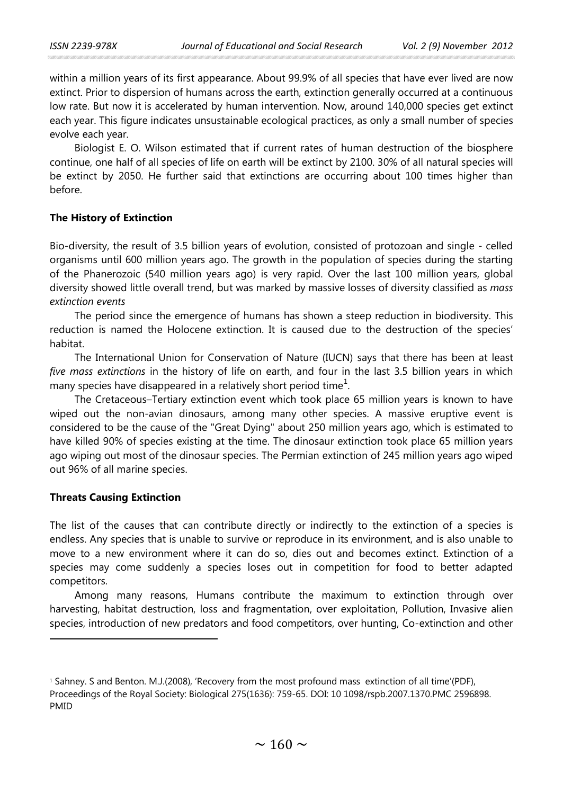within a million years of its first appearance. About 99.9% of all species that have ever lived are now extinct. Prior to dispersion of humans across the earth, extinction generally occurred at a continuous low rate. But now it is accelerated by human intervention. Now, around 140,000 species get extinct each year. This figure indicates unsustainable ecological practices, as only a small number of species evolve each year.

Biologist E. O. Wilson estimated that if current rates of human destruction of the biosphere continue, one half of all species of life on earth will be extinct by 2100. 30% of all natural species will be extinct by 2050. He further said that extinctions are occurring about 100 times higher than before.

## **The History of Extinction**

Bio-diversity, the result of 3.5 billion years of evolution, consisted of protozoan and single - celled organisms until 600 million years ago. The growth in the population of species during the starting of the Phanerozoic (540 million years ago) is very rapid. Over the last 100 million years, global diversity showed little overall trend, but was marked by massive losses of diversity classified as *mass extinction events*

The period since the emergence of humans has shown a steep reduction in biodiversity. This reduction is named the Holocene extinction. It is caused due to the destruction of the species' habitat.

The International Union for Conservation of Nature (IUCN) says that there has been at least *five mass extinctions* in the history of life on earth, and four in the last 3.5 billion years in which many species have disappeared in a relatively short period time<sup>[1](#page-1-0)</sup>.

The Cretaceous–Tertiary extinction event which took place 65 million years is known to have wiped out the non-avian dinosaurs, among many other species. A massive eruptive event is considered to be the cause of the "Great Dying" about 250 million years ago, which is estimated to have killed 90% of species existing at the time. The dinosaur extinction took place 65 million years ago wiping out most of the dinosaur species. The Permian extinction of 245 million years ago wiped out 96% of all marine species.

## **Threats Causing Extinction**

 $\ddot{\phantom{a}}$ 

The list of the causes that can contribute directly or indirectly to the extinction of a species is endless. Any species that is unable to survive or reproduce in its environment, and is also unable to move to a new environment where it can do so, dies out and becomes extinct. Extinction of a species may come suddenly a species loses out in competition for food to better adapted competitors.

Among many reasons, Humans contribute the maximum to extinction through over harvesting, habitat destruction, loss and fragmentation, over exploitation, Pollution, Invasive alien species, introduction of new predators and food competitors, over hunting, Co-extinction and other

<span id="page-1-0"></span><sup>&</sup>lt;sup>1</sup> Sahney. S and Benton. M.J.(2008), 'Recovery from the most profound mass extinction of all time'(PDF), Proceedings of the Royal Society: Biological 275(1636): 759-65. DOI: 10 1098/rspb.2007.1370.PMC 2596898. PMID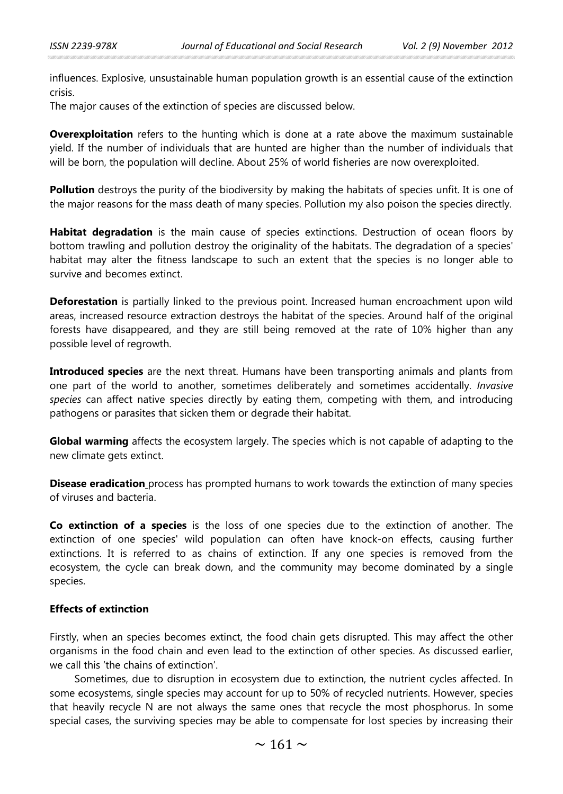influences. Explosive, unsustainable human population growth is an essential cause of the extinction crisis.

The major causes of the extinction of species are discussed below.

**Overexploitation** refers to the hunting which is done at a rate above the maximum sustainable yield. If the number of individuals that are hunted are higher than the number of individuals that will be born, the population will decline. About 25% of world fisheries are now overexploited.

**Pollution** destroys the purity of the biodiversity by making the habitats of species unfit. It is one of the major reasons for the mass death of many species. Pollution my also poison the species directly.

**Habitat degradation** is the main cause of species extinctions. Destruction of ocean floors by bottom trawling and pollution destroy the originality of the habitats. The degradation of a species' habitat may alter the fitness landscape to such an extent that the species is no longer able to survive and becomes extinct.

**Deforestation** is partially linked to the previous point. Increased human encroachment upon wild areas, increased resource extraction destroys the habitat of the species. Around half of the original forests have disappeared, and they are still being removed at the rate of 10% higher than any possible level of regrowth.

**Introduced species** are the next threat. Humans have been transporting animals and plants from one part of the world to another, sometimes deliberately and sometimes accidentally. *Invasive species* can affect native species directly by eating them, competing with them, and introducing pathogens or parasites that sicken them or degrade their habitat.

**Global warming** affects the ecosystem largely. The species which is not capable of adapting to the new climate gets extinct.

**Disease eradication** process has prompted humans to work towards the extinction of many species of viruses and bacteria.

**Co extinction of a species** is the loss of one species due to the extinction of another. The extinction of one species' wild population can often have knock-on effects, causing further extinctions. It is referred to as chains of extinction. If any one species is removed from the ecosystem, the cycle can break down, and the community may become dominated by a single species.

## **Effects of extinction**

Firstly, when an species becomes extinct, the food chain gets disrupted. This may affect the other organisms in the food chain and even lead to the extinction of other species. As discussed earlier, we call this 'the chains of extinction'.

Sometimes, due to disruption in ecosystem due to extinction, the nutrient cycles affected. In some ecosystems, single species may account for up to 50% of recycled nutrients. However, species that heavily recycle N are not always the same ones that recycle the most phosphorus. In some special cases, the surviving species may be able to compensate for lost species by increasing their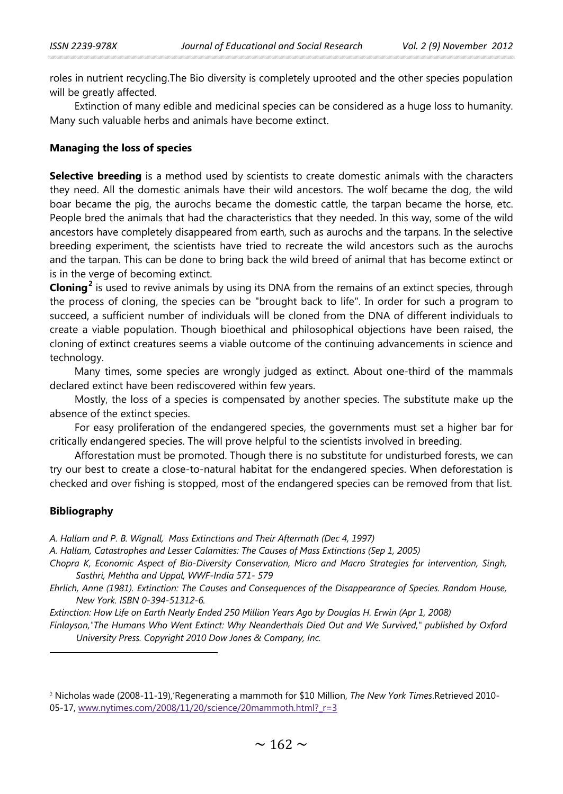roles in nutrient recycling.The Bio diversity is completely uprooted and the other species population will be greatly affected.

Extinction of many edible and medicinal species can be considered as a huge loss to humanity. Many such valuable herbs and animals have become extinct.

### **Managing the loss of species**

**Selective breeding** is a method used by scientists to create domestic animals with the characters they need. All the domestic animals have their wild ancestors. The wolf became the dog, the wild boar became the pig, the aurochs became the domestic cattle, the tarpan became the horse, etc. People bred the animals that had the characteristics that they needed. In this way, some of the wild ancestors have completely disappeared from earth, such as aurochs and the tarpans. In the selective breeding experiment, the scientists have tried to recreate the wild ancestors such as the aurochs and the tarpan. This can be done to bring back the wild breed of animal that has become extinct or is in the verge of becoming extinct.

**Cloning[2](#page-3-0)** is used to revive animals by using its DNA from the remains of an extinct species, through the process of cloning, the species can be "brought back to life". In order for such a program to succeed, a sufficient number of individuals will be cloned from the DNA of different individuals to create a viable population. Though bioethical and philosophical objections have been raised, the cloning of extinct creatures seems a viable outcome of the continuing advancements in science and technology.

Many times, some species are wrongly judged as extinct. About one-third of the mammals declared extinct have been rediscovered within few years.

Mostly, the loss of a species is compensated by another species. The substitute make up the absence of the extinct species.

For easy proliferation of the endangered species, the governments must set a higher bar for critically endangered species. The will prove helpful to the scientists involved in breeding.

Afforestation must be promoted. Though there is no substitute for undisturbed forests, we can try our best to create a close-to-natural habitat for the endangered species. When deforestation is checked and over fishing is stopped, most of the endangered species can be removed from that list.

## **Bibliography**

 $\overline{a}$ 

*A. Hallam and P. B. Wignall, Mass Extinctions and Their Aftermath (Dec 4, 1997)* 

*A. Hallam, Catastrophes and Lesser Calamities: The Causes of Mass Extinctions (Sep 1, 2005)* 

*Chopra K, Economic Aspect of Bio-Diversity Conservation, Micro and Macro Strategies for intervention, Singh, Sasthri, Mehtha and Uppal, WWF-India 571- 579*

*Ehrlich, Anne (1981). Extinction: The Causes and Consequences of the Disappearance of Species. Random House, New York. ISBN 0-394-51312-6.*

*Extinction: How Life on Earth Nearly Ended 250 Million Years Ago by Douglas H. Erwin (Apr 1, 2008)* 

*Finlayson,"The Humans Who Went Extinct: Why Neanderthals Died Out and We Survived," published by Oxford University Press. Copyright 2010 Dow Jones & Company, Inc.* 

<span id="page-3-0"></span><sup>2</sup> Nicholas wade (2008-11-19),'Regenerating a mammoth for \$10 Million, *The New York Times*.Retrieved 2010- 05-17, [www.nytimes.com/2008/11/20/science/20mammoth.html?\\_r=3](http://www.nytimes.com/2008/11/20/science/20mammoth.html?_r=3)